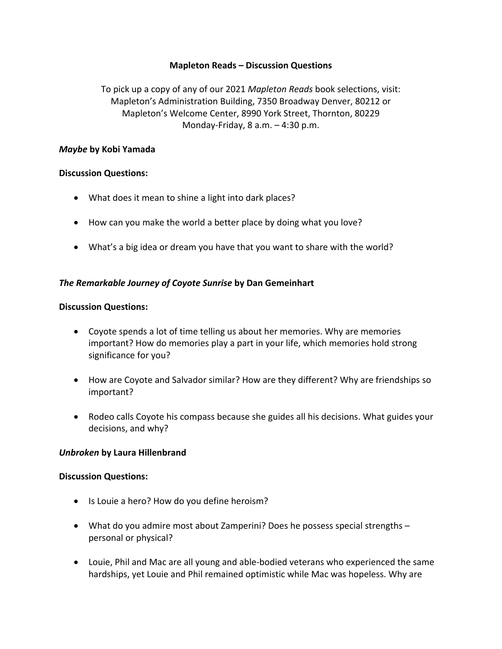## **Mapleton Reads – Discussion Questions**

To pick up a copy of any of our 2021 *Mapleton Reads* book selections, visit: Mapleton's Administration Building, 7350 Broadway Denver, 80212 or Mapleton's Welcome Center, 8990 York Street, Thornton, 80229 Monday-Friday, 8 a.m. – 4:30 p.m.

## *Maybe* **by Kobi Yamada**

## **Discussion Questions:**

- What does it mean to shine a light into dark places?
- How can you make the world a better place by doing what you love?
- What's a big idea or dream you have that you want to share with the world?

# *The Remarkable Journey of Coyote Sunrise* **by Dan Gemeinhart**

## **Discussion Questions:**

- Coyote spends a lot of time telling us about her memories. Why are memories important? How do memories play a part in your life, which memories hold strong significance for you?
- How are Coyote and Salvador similar? How are they different? Why are friendships so important?
- Rodeo calls Coyote his compass because she guides all his decisions. What guides your decisions, and why?

## *Unbroken* **by Laura Hillenbrand**

## **Discussion Questions:**

- Is Louie a hero? How do you define heroism?
- What do you admire most about Zamperini? Does he possess special strengths personal or physical?
- Louie, Phil and Mac are all young and able-bodied veterans who experienced the same hardships, yet Louie and Phil remained optimistic while Mac was hopeless. Why are